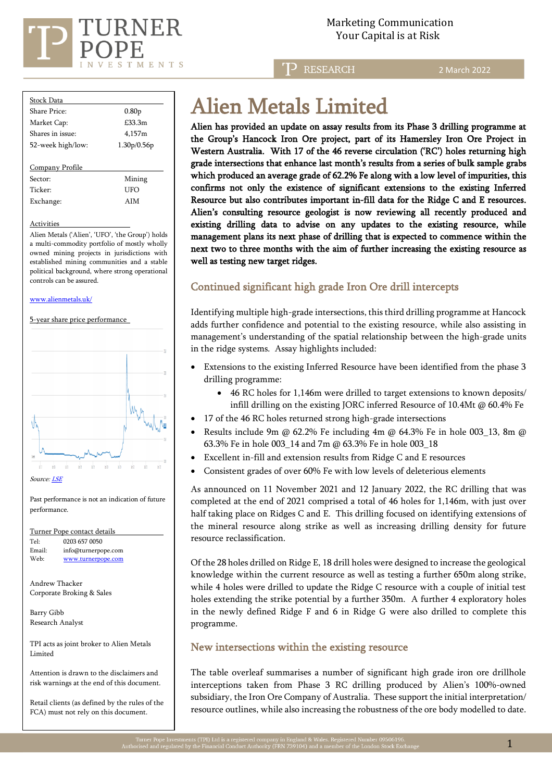

TD RESEARCH

2 March 2022

| Stock Data          |                   |  |  |  |
|---------------------|-------------------|--|--|--|
| Share Price:        | 0.80 <sub>p</sub> |  |  |  |
| Market Cap:         | £33.3m            |  |  |  |
| Shares in issue:    | 4,157m            |  |  |  |
| 52-week high/low:   | 1.30p/0.56p       |  |  |  |
|                     |                   |  |  |  |
| Company Profile     |                   |  |  |  |
| Sector:             | Mining            |  |  |  |
| Ticker <sup>.</sup> | UFO               |  |  |  |
| Exchange:           | <b>AIM</b>        |  |  |  |
|                     |                   |  |  |  |

#### Activities

Alien Metals ('Alien', 'UFO', 'the Group') holds a multi-commodity portfolio of mostly wholly owned mining projects in jurisdictions with established mining communities and a stable political background, where strong operational controls can be assured.

#### [www.alienmetals.uk/](http://www.alienmetals.uk/)

5-year share price performance



Past performance is not an indication of future performance.

| Turner Pope contact details |                     |  |  |  |
|-----------------------------|---------------------|--|--|--|
| Tel:                        | 0203 657 0050       |  |  |  |
| Email:                      | info@turnerpope.com |  |  |  |
| Web:                        | www.turnerpope.com  |  |  |  |

Andrew Thacker Corporate Broking & Sales

Barry Gibb Research Analyst

TPI acts as joint broker to Alien Metals Limited

Attention is drawn to the disclaimers and risk warnings at the end of this document.

Retail clients (as defined by the rules of the FCA) must not rely on this document.

# Alien Metals Limited

Alien has provided an update on assay results from its Phase 3 drilling programme at the Group's Hancock Iron Ore project, part of its Hamersley Iron Ore Project in Western Australia. With 17 of the 46 reverse circulation ('RC') holes returning high grade intersections that enhance last month's results from a series of bulk sample grabs which produced an average grade of 62.2% Fe along with a low level of impurities, this confirms not only the existence of significant extensions to the existing Inferred Resource but also contributes important in-fill data for the Ridge C and E resources. Alien's consulting resource geologist is now reviewing all recently produced and existing drilling data to advise on any updates to the existing resource, while management plans its next phase of drilling that is expected to commence within the next two to three months with the aim of further increasing the existing resource as well as testing new target ridges.

# Continued significant high grade Iron Ore drill intercepts

Identifying multiple high-grade intersections, this third drilling programme at Hancock adds further confidence and potential to the existing resource, while also assisting in management's understanding of the spatial relationship between the high-grade units in the ridge systems. Assay highlights included:

- Extensions to the existing Inferred Resource have been identified from the phase 3 drilling programme:
	- 46 RC holes for 1,146m were drilled to target extensions to known deposits/ infill drilling on the existing JORC inferred Resource of 10.4Mt @ 60.4% Fe
- 17 of the 46 RC holes returned strong high-grade intersections
- Results include 9m @ 62.2% Fe including 4m @ 64.3% Fe in hole 003\_13, 8m @ 63.3% Fe in hole 003\_14 and 7m @ 63.3% Fe in hole 003\_18
- Excellent in-fill and extension results from Ridge C and E resources
- Consistent grades of over 60% Fe with low levels of deleterious elements

As announced on 11 November 2021 and 12 January 2022, the RC drilling that was completed at the end of 2021 comprised a total of 46 holes for 1,146m, with just over half taking place on Ridges C and E. This drilling focused on identifying extensions of the mineral resource along strike as well as increasing drilling density for future resource reclassification.

Of the 28 holes drilled on Ridge E, 18 drill holes were designed to increase the geological knowledge within the current resource as well as testing a further 650m along strike, while 4 holes were drilled to update the Ridge C resource with a couple of initial test holes extending the strike potential by a further 350m. A further 4 exploratory holes in the newly defined Ridge F and 6 in Ridge G were also drilled to complete this programme.

#### New intersections within the existing resource

The table overleaf summarises a number of significant high grade iron ore drillhole interceptions taken from Phase 3 RC drilling produced by Alien's 100%-owned subsidiary, the Iron Ore Company of Australia. These support the initial interpretation/ resource outlines, while also increasing the robustness of the ore body modelled to date.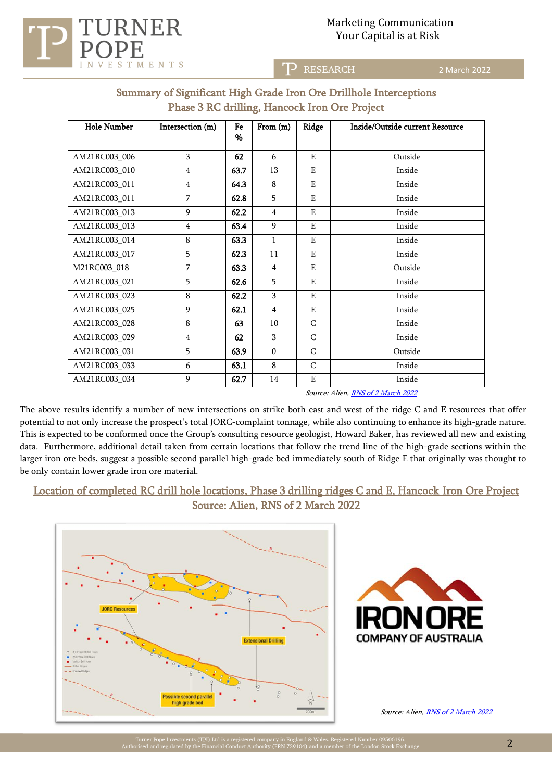# Marketing Communication Your Capital is at Risk



RESEARCH כדי

2 March 2022

|  |                                                      |  | Summary of Significant High Grade Iron Ore Drillhole Interceptions |
|--|------------------------------------------------------|--|--------------------------------------------------------------------|
|  | <b>Phase 3 RC drilling, Hancock Iron Ore Project</b> |  |                                                                    |

| <b>Hole Number</b> | Intersection (m) | Fe<br>% | From $(m)$     | Ridge        | Inside/Outside current Resource |
|--------------------|------------------|---------|----------------|--------------|---------------------------------|
|                    |                  |         |                |              |                                 |
| AM21RC003_006      | 3                | 62      | 6              | E            | Outside                         |
| AM21RC003_010      | $\overline{4}$   | 63.7    | 13             | E            | Inside                          |
| AM21RC003_011      | $\overline{4}$   | 64.3    | 8              | E            | Inside                          |
| AM21RC003_011      | $\overline{7}$   | 62.8    | 5              | E            | Inside                          |
| AM21RC003_013      | 9                | 62.2    | $\overline{4}$ | E            | Inside                          |
| AM21RC003 013      | 4                | 63.4    | 9              | E            | Inside                          |
| AM21RC003_014      | 8                | 63.3    | $\mathbf{1}$   | E            | Inside                          |
| AM21RC003_017      | 5                | 62.3    | 11             | E            | Inside                          |
| M21RC003_018       | 7                | 63.3    | $\overline{4}$ | E            | Outside                         |
| AM21RC003_021      | 5                | 62.6    | 5              | E            | Inside                          |
| AM21RC003_023      | 8                | 62.2    | 3              | E            | Inside                          |
| AM21RC003_025      | 9                | 62.1    | $\overline{4}$ | E            | Inside                          |
| AM21RC003_028      | 8                | 63      | 10             | C            | Inside                          |
| AM21RC003_029      | $\overline{4}$   | 62      | 3              | C            | Inside                          |
| AM21RC003_031      | 5                | 63.9    | $\mathbf{0}$   | $\mathsf{C}$ | Outside                         |
| AM21RC003_033      | 6                | 63.1    | 8              | C            | Inside                          |
| AM21RC003_034      | 9                | 62.7    | 14             | E            | Inside                          |

Source: Alien, [RNS of 2 March 2022](https://www.londonstockexchange.com/news-article/UFO/high-grade-iron-ore-drill-intercepts-at-hancock/15349196)

The above results identify a number of new intersections on strike both east and west of the ridge C and E resources that offer potential to not only increase the prospect's total JORC-complaint tonnage, while also continuing to enhance its high-grade nature. This is expected to be conformed once the Group's consulting resource geologist, Howard Baker, has reviewed all new and existing data. Furthermore, additional detail taken from certain locations that follow the trend line of the high-grade sections within the larger iron ore beds, suggest a possible second parallel high-grade bed immediately south of Ridge E that originally was thought to be only contain lower grade iron ore material.

# Location of completed RC drill hole locations, Phase 3 drilling ridges C and E, Hancock Iron Ore Project Source: Alien, RNS of 2 March 2022





Source: Alien[, RNS of 2 March 2022](https://www.londonstockexchange.com/news-article/UFO/high-grade-iron-ore-drill-intercepts-at-hancock/15349196)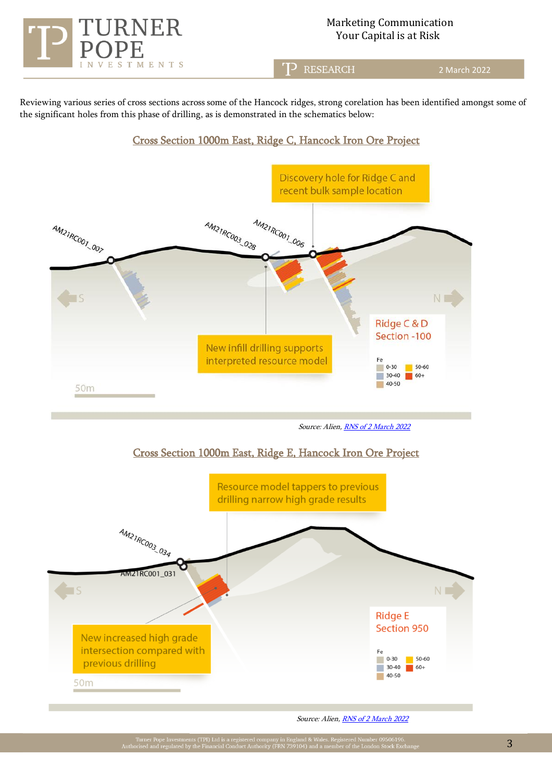

# Marketing Communication Your Capital is at Risk

T<sup>2</sup> RESEARCH

2 March 2022

Reviewing various series of cross sections across some of the Hancock ridges, strong corelation has been identified amongst some of the significant holes from this phase of drilling, as is demonstrated in the schematics below:

## Cross Section 1000m East, Ridge C, Hancock Iron Ore Project



Source: Alien[, RNS of 2 March 2022](https://www.londonstockexchange.com/news-article/UFO/high-grade-iron-ore-drill-intercepts-at-hancock/15349196)

## Cross Section 1000m East, Ridge E, Hancock Iron Ore Project



Source: Alien[, RNS of 2 March 2022](https://www.londonstockexchange.com/news-article/UFO/high-grade-iron-ore-drill-intercepts-at-hancock/15349196)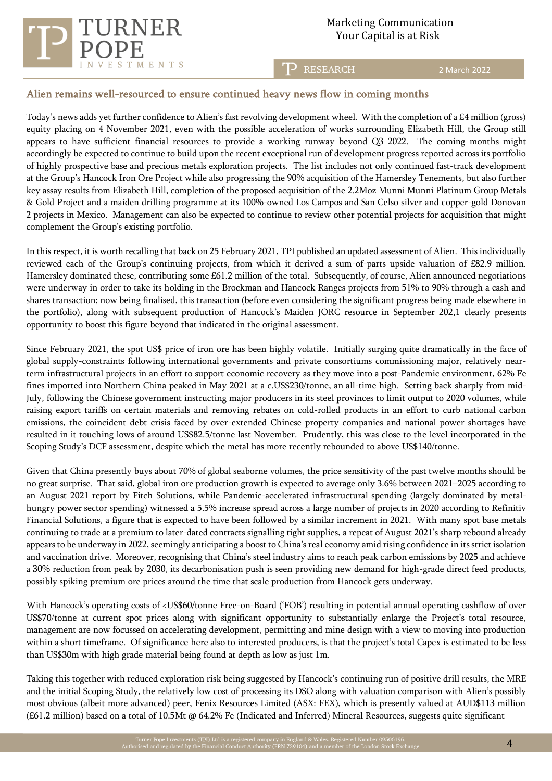



#### T<sup>2</sup> RESEARCH

2 March 2022

# Alien remains well-resourced to ensure continued heavy news flow in coming months

Today's news adds yet further confidence to Alien's fast revolving development wheel. With the completion of a £4 million (gross) equity placing on 4 November 2021, even with the possible acceleration of works surrounding Elizabeth Hill, the Group still appears to have sufficient financial resources to provide a working runway beyond Q3 2022. The coming months might accordingly be expected to continue to build upon the recent exceptional run of development progress reported across its portfolio of highly prospective base and precious metals exploration projects. The list includes not only continued fast-track development at the Group's Hancock Iron Ore Project while also progressing the 90% acquisition of the Hamersley Tenements, but also further key assay results from Elizabeth Hill, completion of the proposed acquisition of the 2.2Moz Munni Munni Platinum Group Metals & Gold Project and a maiden drilling programme at its 100%-owned Los Campos and San Celso silver and copper-gold Donovan 2 projects in Mexico. Management can also be expected to continue to review other potential projects for acquisition that might complement the Group's existing portfolio.

In this respect, it is worth recalling that back on 25 February 2021, TPI published an updated assessment of Alien. This individually reviewed each of the Group's continuing projects, from which it derived a sum-of-parts upside valuation of £82.9 million. Hamersley dominated these, contributing some £61.2 million of the total. Subsequently, of course, Alien announced negotiations were underway in order to take its holding in the Brockman and Hancock Ranges projects from 51% to 90% through a cash and shares transaction; now being finalised, this transaction (before even considering the significant progress being made elsewhere in the portfolio), along with subsequent production of Hancock's Maiden JORC resource in September 202,1 clearly presents opportunity to boost this figure beyond that indicated in the original assessment.

Since February 2021, the spot US\$ price of iron ore has been highly volatile. Initially surging quite dramatically in the face of global supply-constraints following international governments and private consortiums commissioning major, relatively nearterm infrastructural projects in an effort to support economic recovery as they move into a post-Pandemic environment, 62% Fe fines imported into Northern China peaked in May 2021 at a c.US\$230/tonne, an all-time high. Setting back sharply from mid-July, following the Chinese government instructing major producers in its steel provinces to limit output to 2020 volumes, while raising export tariffs on certain materials and removing rebates on cold-rolled products in an effort to curb national carbon emissions, the coincident debt crisis faced by over-extended Chinese property companies and national power shortages have resulted in it touching lows of around US\$82.5/tonne last November. Prudently, this was close to the level incorporated in the Scoping Study's DCF assessment, despite which the metal has more recently rebounded to above US\$140/tonne.

Given that China presently buys about 70% of global seaborne volumes, the price sensitivity of the past twelve months should be no great surprise. That said, global iron ore production growth is expected to average only 3.6% between 2021–2025 according to an August 2021 report by Fitch Solutions, while Pandemic-accelerated infrastructural spending (largely dominated by metalhungry power sector spending) witnessed a 5.5% increase spread across a large number of projects in 2020 according to Refinitiv Financial Solutions, a figure that is expected to have been followed by a similar increment in 2021. With many spot base metals continuing to trade at a premium to later-dated contracts signalling tight supplies, a repeat of August 2021's sharp rebound already appears to be underway in 2022, seemingly anticipating a boost to China's real economy amid rising confidence in its strict isolation and vaccination drive. Moreover, recognising that China's steel industry aims to reach peak carbon emissions by 2025 and achieve a 30% reduction from peak by 2030, its decarbonisation push is seen providing new demand for high-grade direct feed products, possibly spiking premium ore prices around the time that scale production from Hancock gets underway.

With Hancock's operating costs of <US\$60/tonne Free-on-Board ('FOB') resulting in potential annual operating cashflow of over US\$70/tonne at current spot prices along with significant opportunity to substantially enlarge the Project's total resource, management are now focussed on accelerating development, permitting and mine design with a view to moving into production within a short timeframe. Of significance here also to interested producers, is that the project's total Capex is estimated to be less than US\$30m with high grade material being found at depth as low as just 1m.

Taking this together with reduced exploration risk being suggested by Hancock's continuing run of positive drill results, the MRE and the initial Scoping Study, the relatively low cost of processing its DSO along with valuation comparison with Alien's possibly most obvious (albeit more advanced) peer, Fenix Resources Limited (ASX: FEX), which is presently valued at AUD\$113 million (£61.2 million) based on a total of 10.5Mt @ 64.2% Fe (Indicated and Inferred) Mineral Resources, suggests quite significant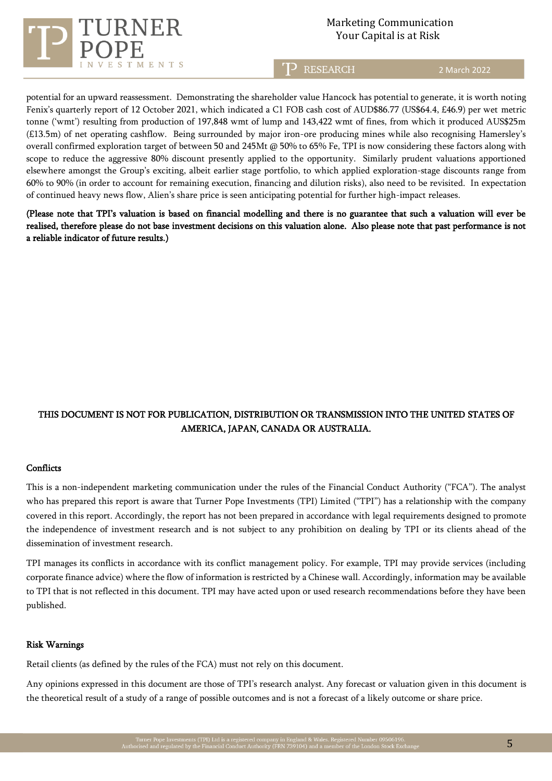

# Marketing Communication Your Capital is at Risk

T<sup>2</sup> RESEARCH

2 March 2022

potential for an upward reassessment. Demonstrating the shareholder value Hancock has potential to generate, it is worth noting Fenix's quarterly report of 12 October 2021, which indicated a C1 FOB cash cost of AUD\$86.77 (US\$64.4, £46.9) per wet metric tonne ('wmt') resulting from production of 197,848 wmt of lump and 143,422 wmt of fines, from which it produced AUS\$25m (£13.5m) of net operating cashflow. Being surrounded by major iron-ore producing mines while also recognising Hamersley's overall confirmed exploration target of between 50 and 245Mt @ 50% to 65% Fe, TPI is now considering these factors along with scope to reduce the aggressive 80% discount presently applied to the opportunity. Similarly prudent valuations apportioned elsewhere amongst the Group's exciting, albeit earlier stage portfolio, to which applied exploration-stage discounts range from 60% to 90% (in order to account for remaining execution, financing and dilution risks), also need to be revisited. In expectation of continued heavy news flow, Alien's share price is seen anticipating potential for further high-impact releases.

(Please note that TPI's valuation is based on financial modelling and there is no guarantee that such a valuation will ever be realised, therefore please do not base investment decisions on this valuation alone. Also please note that past performance is not a reliable indicator of future results.)

# THIS DOCUMENT IS NOT FOR PUBLICATION, DISTRIBUTION OR TRANSMISSION INTO THE UNITED STATES OF AMERICA, JAPAN, CANADA OR AUSTRALIA.

#### **Conflicts**

This is a non-independent marketing communication under the rules of the Financial Conduct Authority ("FCA"). The analyst who has prepared this report is aware that Turner Pope Investments (TPI) Limited ("TPI") has a relationship with the company covered in this report. Accordingly, the report has not been prepared in accordance with legal requirements designed to promote the independence of investment research and is not subject to any prohibition on dealing by TPI or its clients ahead of the dissemination of investment research.

TPI manages its conflicts in accordance with its conflict management policy. For example, TPI may provide services (including corporate finance advice) where the flow of information is restricted by a Chinese wall. Accordingly, information may be available to TPI that is not reflected in this document. TPI may have acted upon or used research recommendations before they have been published.

#### Risk Warnings

Retail clients (as defined by the rules of the FCA) must not rely on this document.

Any opinions expressed in this document are those of TPI's research analyst. Any forecast or valuation given in this document is the theoretical result of a study of a range of possible outcomes and is not a forecast of a likely outcome or share price.